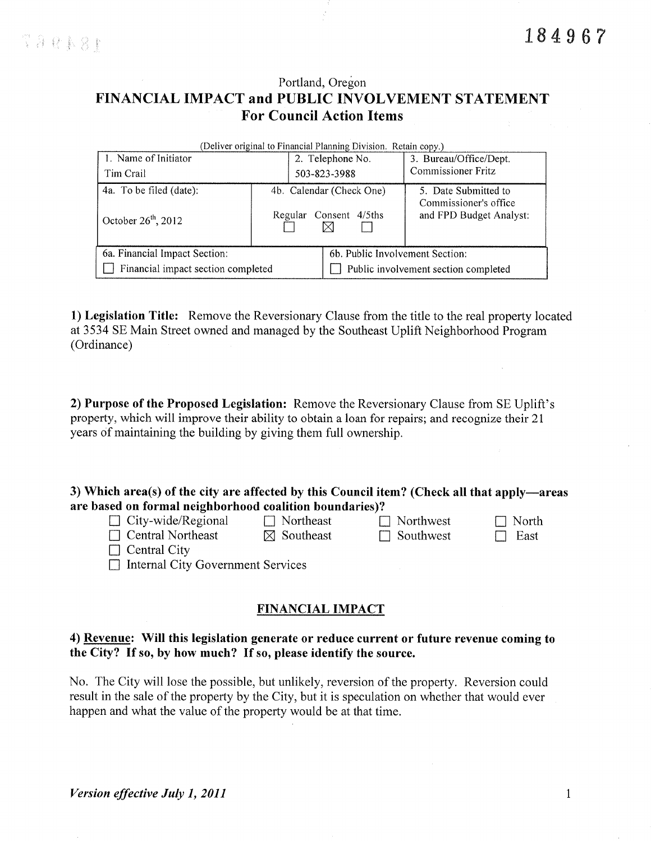# Portland, Oregon FINANCIAL IMPACT and PUBLIC INVOLVEMENT STATEMENT **For Council Action Items**

| (Deliver original to Financial Planning Division. Retain copy.) |  |                           |                                                                          |  |  |  |  |  |  |
|-----------------------------------------------------------------|--|---------------------------|--------------------------------------------------------------------------|--|--|--|--|--|--|
| 1. Name of Initiator                                            |  | 2. Telephone No.          | 3. Bureau/Office/Dept.                                                   |  |  |  |  |  |  |
| Tim Crail                                                       |  | 503-823-3988              | <b>Commissioner Fritz</b>                                                |  |  |  |  |  |  |
| 4a. To be filed (date):                                         |  | 4b. Calendar (Check One)  | 5. Date Submitted to<br>Commissioner's office<br>and FPD Budget Analyst: |  |  |  |  |  |  |
| October $26th$ , 2012                                           |  | Consent 4/5ths<br>Regular |                                                                          |  |  |  |  |  |  |
| 6a. Financial Impact Section:                                   |  |                           | 6b. Public Involvement Section:                                          |  |  |  |  |  |  |
| Financial impact section completed                              |  |                           | Public involvement section completed                                     |  |  |  |  |  |  |

1) Legislation Title: Remove the Reversionary Clause from the title to the real property located at 3534 SE Main Street owned and managed by the Southeast Uplift Neighborhood Program (Ordinance)

2) Purpose of the Proposed Legislation: Remove the Reversionary Clause from SE Uplift's property, which will improve their ability to obtain a loan for repairs; and recognize their 21 years of maintaining the building by giving them full ownership.

3) Which area(s) of the city are affected by this Council item? (Check all that apply—areas are based on formal neighborhood coalition boundaries)?

| $City-w$ |  |
|----------|--|
|          |  |

ide/Regional  $\Box$  Central Northeast

 $\Box$  Northeast  $\boxtimes$  Southeast  $\Box$  Northwest  $\Box$  Southwest

 $\Box$  North  $\Box$  East

 $\Box$  Central City

 $\Box$  Internal City Government Services

# **FINANCIAL IMPACT**

### 4) Revenue: Will this legislation generate or reduce current or future revenue coming to the City? If so, by how much? If so, please identify the source.

No. The City will lose the possible, but unlikely, reversion of the property. Reversion could result in the sale of the property by the City, but it is speculation on whether that would ever happen and what the value of the property would be at that time.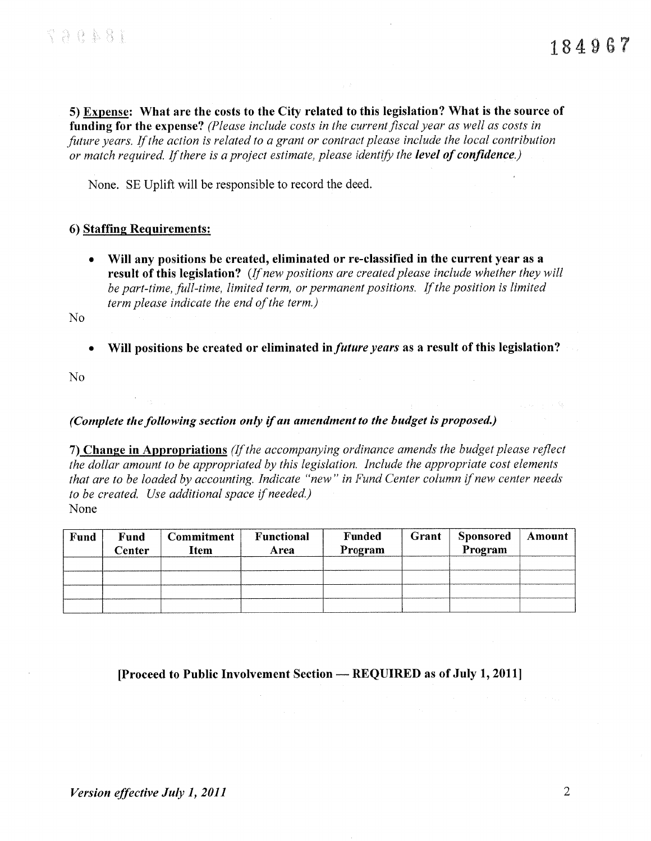5) Expense: What are the costs to the City related to this legislation? What is the source of funding for the expense? (Please include costs in the current fiscal year as well as costs in future years. If the action is related to a grant or contract please include the local contribution or match required. If there is a project estimate, please identify the level of confidence.)

None. SE Uplift will be responsible to record the deed.

#### 6) Staffing Requirements:

Will any positions be created, eliminated or re-classified in the current year as a result of this legislation? (If new positions are created please include whether they will be part-time, full-time, limited term, or permanent positions. If the position is limited term please indicate the end of the term.)

 $No$ 

Will positions be created or eliminated in *future years* as a result of this legislation?

N<sub>o</sub>

#### (Complete the following section only if an amendment to the budget is proposed.)

7) Change in Appropriations (If the accompanying ordinance amends the budget please reflect the dollar amount to be appropriated by this legislation. Include the appropriate cost elements that are to be loaded by accounting. Indicate "new" in Fund Center column if new center needs to be created. Use additional space if needed.) None

| Fund | Fund<br>Center | Commitment<br>Item | <b>Functional</b><br>Area | Funded<br>Program | Grant | <b>Sponsored</b><br>Program | Amount |
|------|----------------|--------------------|---------------------------|-------------------|-------|-----------------------------|--------|
|      |                |                    |                           |                   |       |                             |        |
|      |                |                    |                           |                   |       |                             |        |
|      |                |                    |                           |                   |       |                             |        |
|      |                |                    |                           |                   |       |                             |        |

[Proceed to Public Involvement Section — REQUIRED as of July 1, 2011]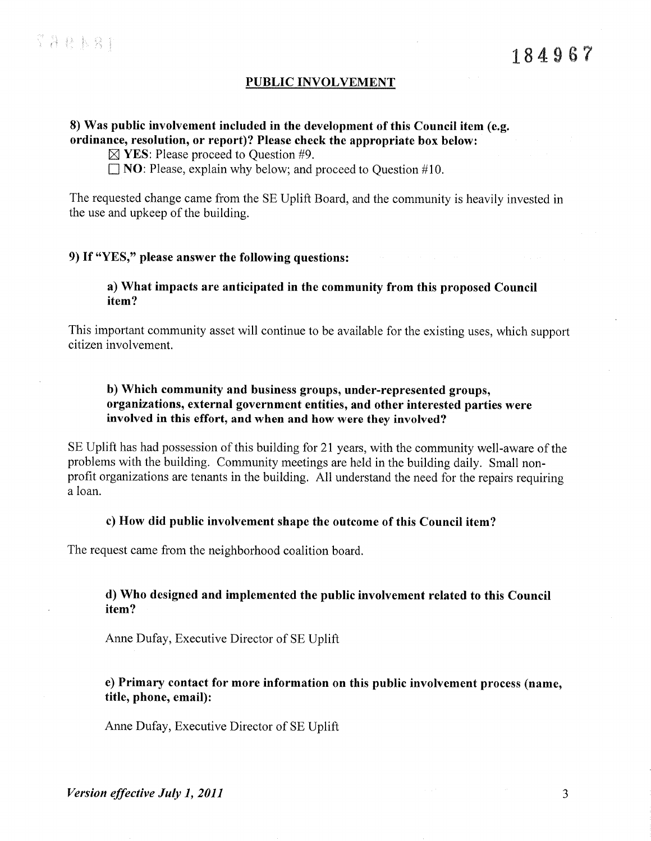#### PUBLIC INVOLVEMENT

## 8) Was public involvement included in the development of this Council item (e.g. ordinance, resolution, or report)? Please check the appropriate box below:

 $\boxtimes$  YES: Please proceed to Question #9.

 $\Box$  NO: Please, explain why below; and proceed to Question #10.

The requested change came from the SE Uplift Board, and the community is heavily invested in the use and upkeep of the building.

### 9) If "YES," please answer the following questions:

#### a) What impacts are anticipated in the community from this proposed Council item?

This important community asset will continue to be available for the existing uses, which support citizen involvement.

### b) Which community and business groups, under-represented groups, organizations, external government entities, and other interested parties were involved in this effort, and when and how were they involved?

SE Uplift has had possession of this building for 2I years, with the community well-aware of the problems with the building. Community meetings are held in the building daily. Small nonprofit organizations are tenants in the building, All understand the need for the repairs requiring a loan.

### c) How did public involvement shape the outcome of this Council item?

The request came from the neighborhood coalition board.

#### d) Who designed and implemented the public involvement related to this Council item?

Anne Dufay, Executive Director of SE Uplift

e) Primary contact for more information on this public involvement process (name, title, phone, email):

Anne Dufay, Executive Director of SE Uplift